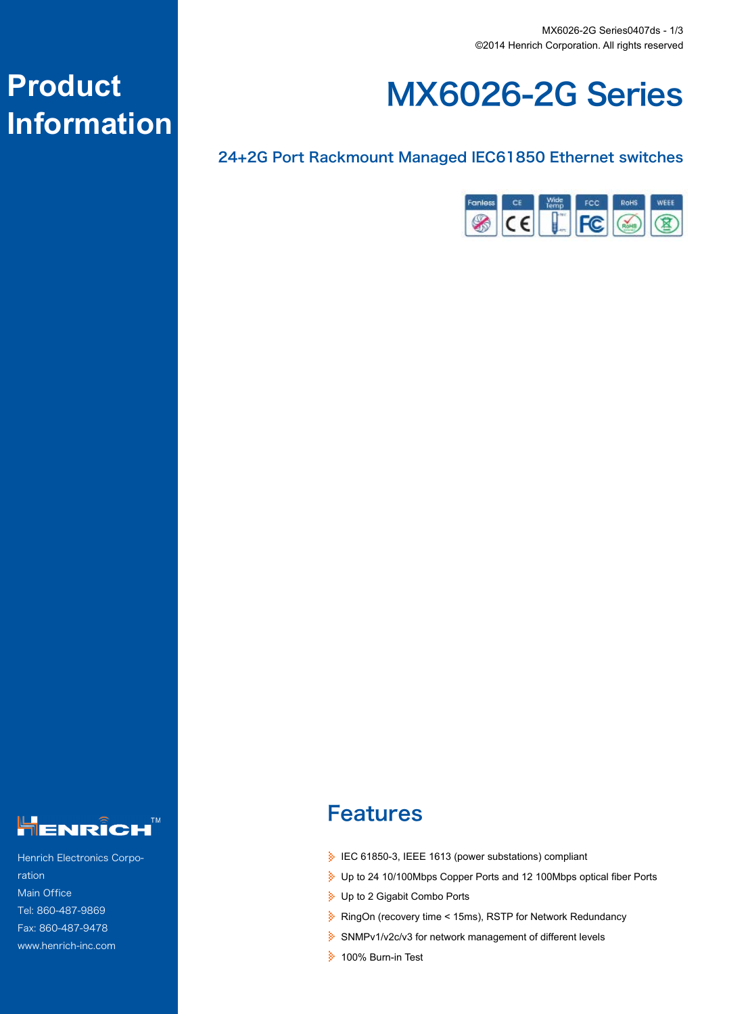

#### 24+2G Port Rackmount Managed IEC61850 Ethernet switches





Henrich Electronics Corporation Main Office Tel: 860-487-9869 Fax: 860-487-9478 www.henrich-inc.com

# Features

- IEC 61850-3, IEEE 1613 (power substations) compliant
- Up to 24 10/100Mbps Copper Ports and 12 100Mbps optical fiber Ports
- Up to 2 Gigabit Combo Ports
- RingOn (recovery time < 15ms), RSTP for Network Redundancy
- SNMPv1/v2c/v3 for network management of different levels
- **100% Burn-in Test**

# **Product Information**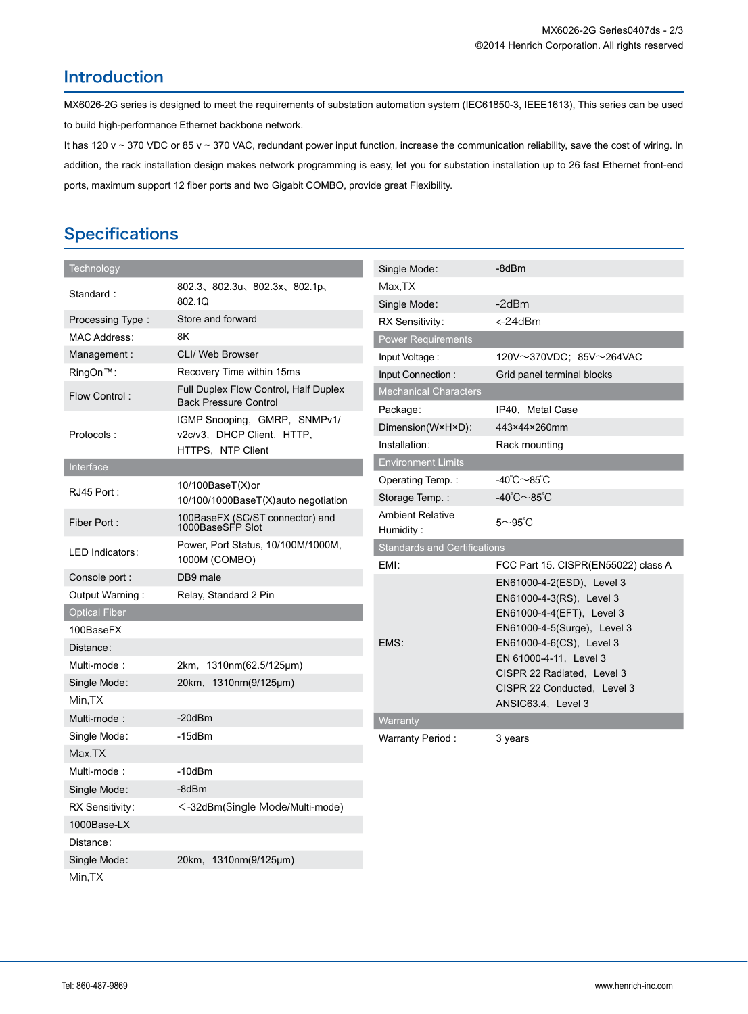#### Introduction

MX6026-2G series is designed to meet the requirements of substation automation system (IEC61850-3, IEEE1613), This series can be used to build high-performance Ethernet backbone network.

It has 120 v ~ 370 VDC or 85 v ~ 370 VAC, redundant power input function, increase the communication reliability, save the cost of wiring. In addition, the rack installation design makes network programming is easy, let you for substation installation up to 26 fast Ethernet front-end ports, maximum support 12 fiber ports and two Gigabit COMBO, provide great Flexibility.

## **Specifications**

| Technology           |                                                                       | Single Mode:                        | -8dBm                                                    |
|----------------------|-----------------------------------------------------------------------|-------------------------------------|----------------------------------------------------------|
| Standard:            | 802.3、802.3u、802.3x、802.1p、<br>802.1Q                                 | Max,TX                              |                                                          |
|                      |                                                                       | Single Mode:                        | $-2dBr$                                                  |
| Processing Type:     | Store and forward                                                     | RX Sensitivity:                     | <-24dBm                                                  |
| MAC Address:         | 8K                                                                    | <b>Power Requirements</b>           |                                                          |
| Management:          | CLI/ Web Browser                                                      | Input Voltage:                      | $120V \sim 370VDC$ ; 85V $\sim$ 264VAC                   |
| RingOn™:             | Recovery Time within 15ms                                             | Input Connection:                   | Grid panel terminal blocks                               |
| Flow Control:        | Full Duplex Flow Control, Half Duplex<br><b>Back Pressure Control</b> | <b>Mechanical Characters</b>        |                                                          |
| Protocols:           | IGMP Snooping, GMRP, SNMPv1/<br>v2c/v3, DHCP Client, HTTP,            | Package:                            | IP40, Metal Case<br>443×44×260mm                         |
|                      |                                                                       | Dimension(W×H×D):<br>Installation:  |                                                          |
|                      | HTTPS, NTP Client                                                     | <b>Environment Limits</b>           | Rack mounting                                            |
| Interface            |                                                                       | Operating Temp.:                    | $-40^{\circ}$ C $\sim$ 85 $^{\circ}$ C                   |
| RJ45 Port:           | 10/100BaseT(X)or                                                      | Storage Temp.:                      | -40℃~85℃                                                 |
|                      | 10/100/1000BaseT(X)auto negotiation                                   | <b>Ambient Relative</b>             |                                                          |
| Fiber Port:          | 100BaseFX (SC/ST connector) and<br>1000BaseSFP Slot                   | Humidity:                           | $5 \sim 95$ °C                                           |
| LED Indicators:      | Power, Port Status, 10/100M/1000M,                                    | <b>Standards and Certifications</b> |                                                          |
|                      | 1000M (COMBO)                                                         | EMI:                                | FCC Part 15. CISPR(EN55022) class A                      |
| Console port :       | DB9 male                                                              |                                     | EN61000-4-2(ESD), Level 3                                |
| Output Warning:      | Relay, Standard 2 Pin                                                 |                                     | EN61000-4-3(RS), Level 3                                 |
| <b>Optical Fiber</b> |                                                                       |                                     | EN61000-4-4(EFT), Level 3<br>EN61000-4-5(Surge), Level 3 |
| 100BaseFX            |                                                                       | EMS:                                | EN61000-4-6(CS), Level 3                                 |
| Distance:            |                                                                       |                                     | EN 61000-4-11, Level 3                                   |
| Multi-mode:          | 2km, 1310nm(62.5/125µm)                                               |                                     | CISPR 22 Radiated, Level 3                               |
| Single Mode:         | 20km, 1310nm(9/125µm)                                                 |                                     | CISPR 22 Conducted, Level 3                              |
| Min.TX               | $-20$ d $Bm$                                                          |                                     | ANSIC63.4, Level 3                                       |
| Multi-mode:          |                                                                       | Warranty                            |                                                          |
| Single Mode:         | $-15$ d $Bm$                                                          | Warranty Period:                    | 3 years                                                  |
| Max, TX              | $-10$ d $Bm$                                                          |                                     |                                                          |
| Multi-mode:          |                                                                       |                                     |                                                          |
| Single Mode:         | -8dBm                                                                 |                                     |                                                          |
| RX Sensitivity:      | <-32dBm(Single Mode/Multi-mode)                                       |                                     |                                                          |
| 1000Base-LX          |                                                                       |                                     |                                                          |
| Distance:            |                                                                       |                                     |                                                          |
| Single Mode:         | 20km, 1310nm(9/125µm)                                                 |                                     |                                                          |
| Min,TX               |                                                                       |                                     |                                                          |